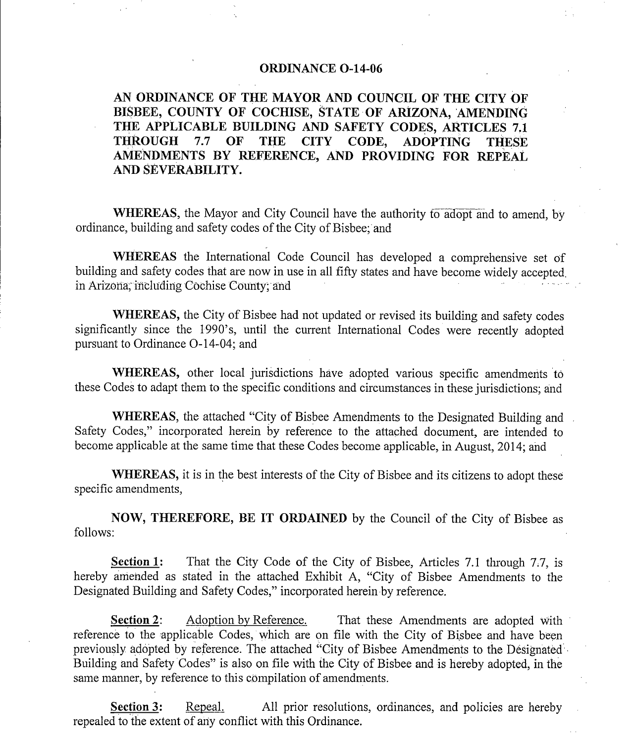#### ORDINANCE O-14-06

AN ORDINANCE OF THE MAYOR AND COUNCIL OF THE CITY OF BISBEE, COUNTY OF COCHISE, STATE OF ARIZONA, 'AMENDING THE APPLICABLE BUILDING AND SAFETY CODES, ARTICLES 7.1 THROUGH 7.7 OF THE CITY CODE, ADOPTING THESE CODE, ADOPTING AMENDMENTS BY REFERENCE, AND PROVIDING FOR REPEAL AND SEVERABILITY.

WHEREAS, the Mayor and City Council have the authority to adopt and to amend, by ordinance, building and safety codes of the City of Bisbee;'and

WHEREAS the International Code Council has developed a comprehensive set of building and safety codes that are now in use in all fifty states and have become widely accepted. in Arizona; including Cochise County; and

WHEREAS, the City of Bisbee had not updated or revised its building and safety codes significantly since the <sup>1990</sup>'s, until the current International Codes were recently adopted pursuant to Ordinance O-14-04; and

WHEREAS, other local jurisdictions have adopted various specific amendments to these Codes to adapt them to the specific conditions and circumstances in these jurisdictions; and

WHEREAS, the attached "City of Bisbee Amendments to the Designated Building and Safety Codes," incorporated herein by reference to the attached document, are intended to become applicable at the same time that these Codes become applicable, in August, 2014; and

WHEREAS, it is in the best interests of the City of Bisbee and its citizens to adopt these specific amendments,

NOW, THEREFORE, BE IT ORDAINED by the Council of the City of Bisbee as follows:

Section 1: That the City Code of the City of Bisbee, Articles 7.1 through 7.7, is hereby amended as stated in the attached Exhibit A, "City of Bisbee Amendments to the Designated Building and Safety Codes," incorporated herein by reference.

**Section 2:** Adoption by Reference. That these Amendments are adopted with reference to the applicable Codes, which are on file with the City of Bisbee and have been previously adopted by reference. The attached "City of Bisbee Amendments to the Designated Building and Safety Codes" is also on file with the City of Bisbee and is hereby adopted, in the same manner, by reference to this compilation of amendments.

Section 3: Repeal. All prior resolutions, ordinances, and policies are hereby repealed to the extent of any conflict with this Ordinance.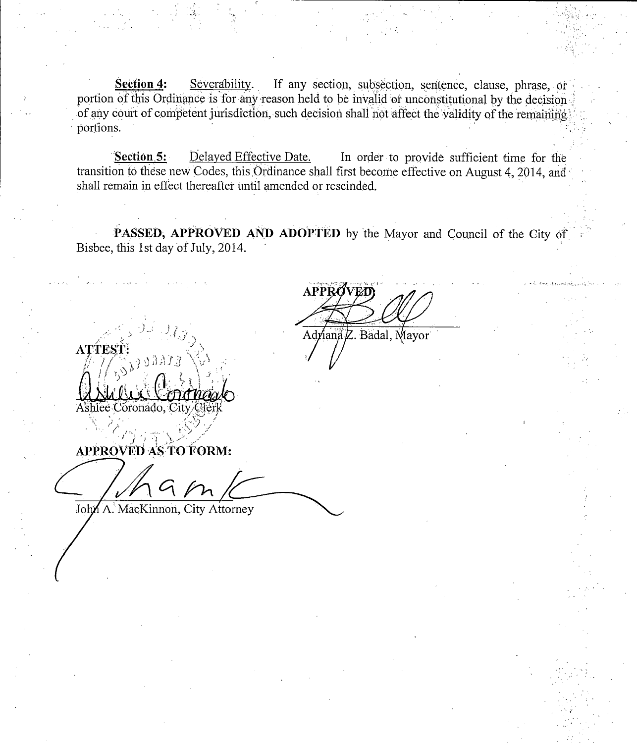Section 4: Severability. If any section, subsection, sentence, clause, phrase, or portion of this Ordinance is for any reason held to be invalid or unconstitutional by the decision. of any court of competent jurisdiction, such decision shall not affect the validity of the remaining portions.

 $\mathcal{L}$ 

s.<br>Section 5: Delayed Effective Date. In order to provide sufficient time for the<br>on to these new Godos this Ordinance shell first become effective as Aymed 4, 2014 transition to these new Codes, this Ordinance shall first become effective on August 4, 2014, and shall remain in effect thereafter until amended or rescinded.

PASSED, APPROVED AND ADOPTED by the Mayor and Council of the City of Bisbee, this 1st day of July, 2014.

**APPR** Adriana Z. Badal, Mayor

j ATTEST' r Unice Coronaal

APPROVED AS TO FORM:

John A. MacKinnon, City Attorney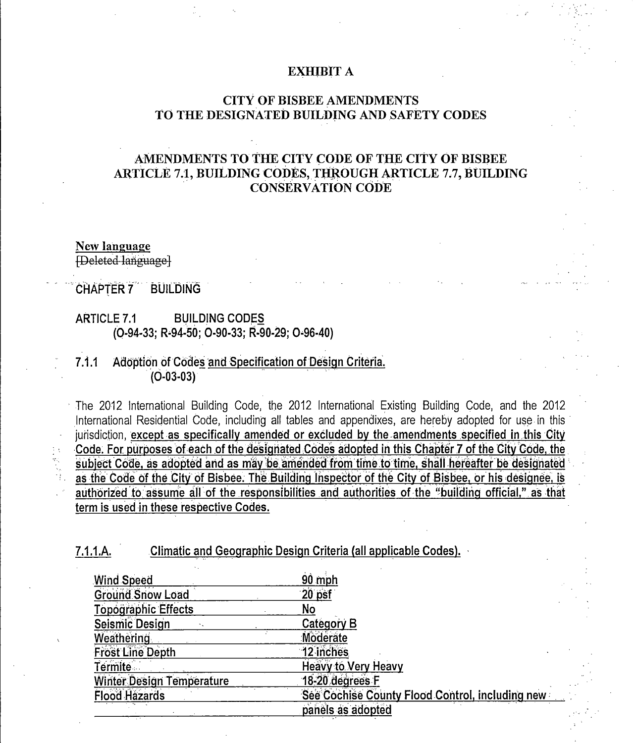#### **EXHIBIT A**

#### **CITY OF BISBEE AMENDMENTS** TO THE DESIGNATED BUILDING AND SAFETY CODES

## AMENDMENTS TO THE CITY CODE OF THE CITY OF BISBEE **ARTICLE 7.1, BUILDING CODES, THROUGH ARTICLE 7.7, BUILDING CONSERVATION CODE**

#### **New language**

**[Deleted language]** 

#### **CHAPTER 7 BUILDING**

#### **BUILDING CODES ARTICLE 7.1** (O-94-33; R-94-50; O-90-33; R-90-29; O-96-40)

#### $7.1.1$ Adoption of Codes and Specification of Design Criteria.  $(O-03-03)$

The 2012 International Building Code, the 2012 International Existing Building Code, and the 2012 International Residential Code, including all tables and appendixes, are hereby adopted for use in this jurisdiction, except as specifically amended or excluded by the amendments specified in this City Code. For purposes of each of the designated Codes adopted in this Chapter 7 of the City Code, the subject Code, as adopted and as may be amended from time to time, shall hereafter be designated as the Code of the City of Bisbee. The Building inspector of the City of Bisbee, or his designee, is authorized to assume all of the responsibilities and authorities of the "building official." as that term is used in these respective Codes.

Climatic and Geographic Design Criteria (all applicable Codes).  $7.1.1.A.$ 

| <b>Wind Speed</b>          | 90 mph                                          |
|----------------------------|-------------------------------------------------|
| <b>Ground Snow Load</b>    | 20 psf                                          |
| <b>Topographic Effects</b> | No                                              |
| <b>Seismic Design</b>      | Category B                                      |
| <b>Weathering</b>          | Moderate                                        |
| <b>Frost Line Depth</b>    | 12 inches                                       |
| Termite                    | <b>Heavy to Very Heavy</b>                      |
| Winter Design Temperature  | 18-20 degrees F                                 |
| <b>Flood Hazards</b>       | See Cochise County Flood Control, including new |
|                            | panels as adopted                               |
|                            |                                                 |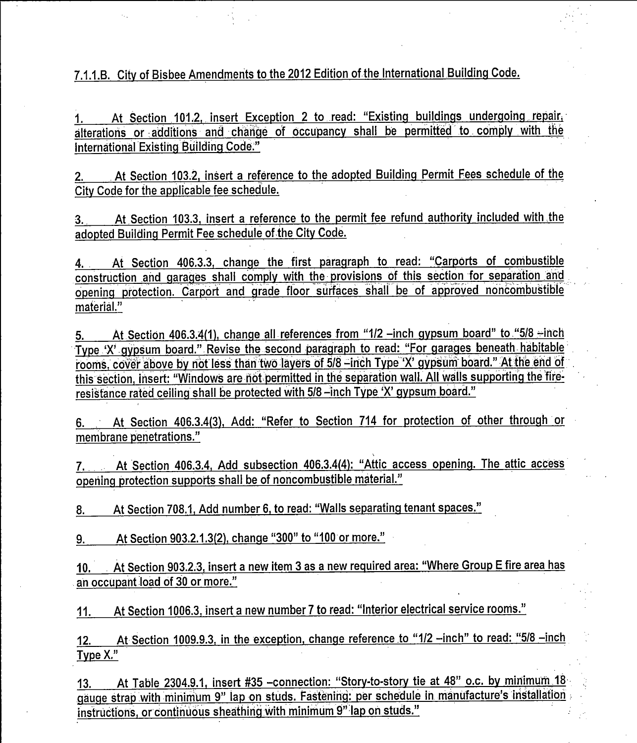7.1.1.B. City of Bisbee Amendments to the 2012 Edition of the International Building Code.

At Section 101.2, insert Exception 2 to read: "Existing buildings undergoing repair, alterations or additions and change of occupancy shall be permitted to. comply with the International Existing Building Code."

2 At Section 103 2, insert <sup>a</sup> reference to the adopted Building Permit Fees schedule of the City Code for the applicable fee schedule.

3. At Section 103.3, insert a reference to the permit fee refund authority included with the adopted Building Permit Fee schedule of the City Code.

At Section 103.3, insert a reference to the permit hee relund authority included with the<br>adopted Building Permit Fee schedule of the City Code.<br>4. At Section 406.3.3, change the first paragraph to read: "Carports of combu opening protection. Carport and grade floor surfaces shall be of approved noncombustible material."

At Section 406.3.4(1), change all references from "1/2 -inch gypsum board" to. "5/8 -inch Type 'X' gypsum board." Revise the second paragraph to read: "For garages beneath habitable rooms, cover above by not less than two layers of 5/8 -inch Type 'X' gypsum board." At the end of this section, insert: "Windows are not permitted in the separation wall. All walls supporting the fireresistance rated ceiling shall be protected with 5/8-inch Type 'X' gypsum board."

6. At Section 406.3.4(3), Add: "Refer to Section 714 for protection of other through or membrane penetrations."

7. At Section 406.3.4, Add subsection 406.3.4(4): "Attic access opening. The attic access opening protection supports shall be of noncombustible material." 2. At Section 406.3.4, Add subsection 406.3.4(4): "Attic<br>
9. At Section 708.1, Add number 6, to read: "Walls separating<br>
9. At Section 903.2.1.3(2), change "300" to "100 or more."<br>
1. At Section 903.2.1.3(2), change "300"

8. At Section 708.1, Add number 6, to read: "Walls separating tenant spaces."

9. \_\_\_\_\_At Section 903.2.1.3(2), change "300" to "100 or more."<br>10. \_\_\_At Section 903.2.3, insert a new item 3 as a new required area:<br>an occupant load of 30 or more."  $\overline{a}$ n occupant load of 30 or more." <u>) E fire area has</u>

11. At Section 1006.3, insert a new number 7 to read: "Interior electrical service rooms."

12. At Section 1009.9.3, in the exception, change reference to "1/2 -inch" to read: "5/8 -inch Type X."

At Table 2304.9.1, insert #35 -connection: "Story-to-story tie at 48" o.c. by minimum 18  $13.$ gauge strap with minimum 9" lap on studs. Fastening: per schedule in manufacture's installation instructions, or continuous sheathing with minimum 9" lap on studs."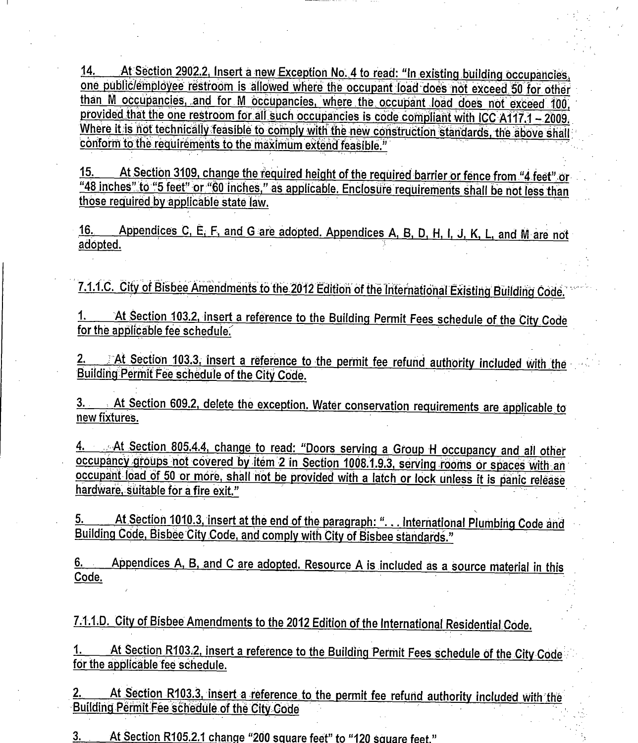14. - At Section 2902.2 Insert <sup>a</sup> new.Exception No' 4 to read " in existing boccupancies, one obl064- nployee restroom is allowed where the occupant load does not exceed `50 for other than M occupancies, and for M occupancies, where the occupant load does not exceed 100, provided that the one restroom for all such occupancies is code compliant with ICC A117.1 - 2009. Where it is not technically feasible to comply with the new construction standards, the above shall conform to the requirements to the maximum extend feasible."

15. At Section 3109, change the required height of the required barrier or fence from "4 feet" or "48 inches" to "5 feet" or "60 inches," as applicable. Enclosure requirements shall be not less than those required by applicable state law.

16. Appendices C, E, F, and G are adopted. Appendices A, B, D, H, I, J, K, L, and M are not adopted.

7.1.1.C. City of Bisbee Amendments to the 2012 Edition of the International Existing Building Code.

1. At Section 103.2, insert a reference to the Building Permit Fees schedule of the City Code for the applicable fee schedule.

2. <sup>At Section 103.3, insert a reference to the permit fee refund authority included with the Building Permit Fee schedule of the City Code.</sup> 1.1.1.C. City of Bisbee Amendments to the 2014<br>1. At Section 103.2, insert a reference to<br>for the applicable fee schedule.<br>2. At Section 103.3, insert a reference to<br>Building Permit Fee schedule of the City Code<br>3. At Sect

3. At Section 609.2, delete the exception. Water conservation requirements are applicable. <u>le\_to</u> new fixtures. 4. . . At Section 609.2, delete the exception. Water conservation requirements are applicable to<br>new fixtures.<br>4. . . . . At Section 805.4.4, change to read: "Doors serving a Group H occupancy and all other

occupancy groups not covered by item 2 in Section 1008.1.9.3, serving rooms or spaces with an occupant load of 50 or more, shall not be provided with a latch or lock unless it is panic release hardware, suitable for a fire exit."

5. At Section 1010.3, insert at the end of the paragraph: "... International Plumbing Code and Building Code, Bisbee City Code, and comply with City of Bisbee standards."

6. Appendices A, B, and C are adopted. Resource A is included as a source material in this Code.

7.1.1.D. City of Bisbee Amendments to the 2012 Edition of the International Residential Code.

1. At Section R103.2, insert a reference to the Building Permit Fees schedule of the City Code for the applicable fee schedule.

2. At Section R103.3, insert a reference to the permit fee refund authority included with the Building Permit Fee schedule of the City Code

3. At Section R105.2.1 change "200 square feet" to "120 square feet."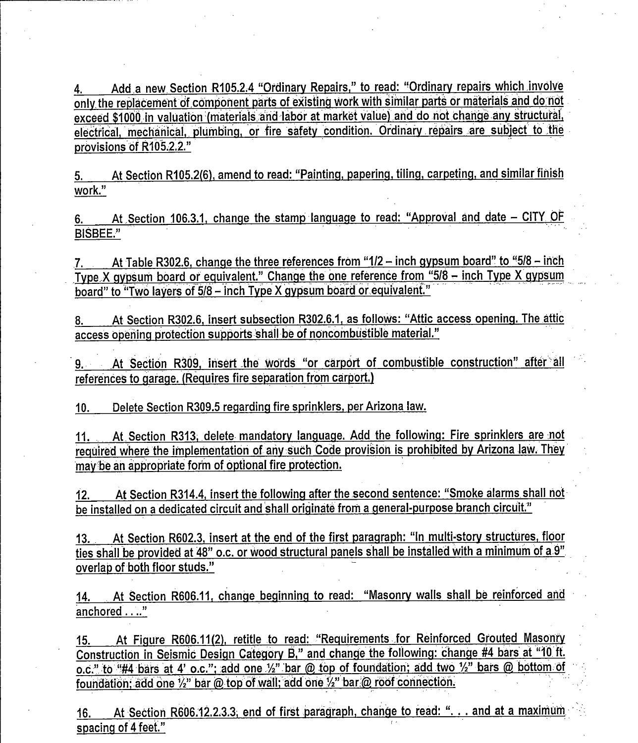4. Add a new Section R105.2.4 "Ordinary Repairs," to read: "Ordinary repairs which involve only the replacement of component parts of existing work with similar parts or materials and do. not exceed \$1000 in valuation (materials and labor at market value) and do not change any structural, <u>electrical, mechanical, plumbing, or fire safety condition. Ordinary repairs are subject to the</u> 4. Add a new Section R105.2<br>
<u>only the replacement of componency</u><br>
<u>exceed \$1000 in valuation (material</u><br>
electrical, mechanical, plumbing,<br>
provisions of R105.2.2." exceed \$1000 in valuation (materials and labor at market value) and do not change any structural,<br>electrical, mechanical, plumbing, or fire safety condition. Ordinary repairs are subject to the<br>provisions of R105.2.2."<br>5.

work." 5. At Section R105.2(6), amend to read: "Painting, papering, tiling, carpeting, and similar finish<br>work."<br>6. At Section 106.3.1, change the stamp language to read: "Approval and date – CITY OF

BISBEE."

At Table R302.6, change the three references from "1/2 - inch gypsum board" to "5/8 - inch Type X gypsum board or equivalent." Change the one reference from "5/8 - inch Type X gypsum board" to "Two layers of 5/8 - inch Type X gypsum board or equivalent." Type X gypsum board or equivalent." Change the one reference from "5/8 – inch Type X gypsum<br>board" to "Two layers of 5/8 – inch Type X gypsum board or equivalent."<br>8. At Section R302.6, insert subsection R302.6.1, as foll

access opening protection supports shail be of noncombustible material."

Section R309, insert the words "or carport of combustible construction" after all 9. . . references to garage. (Requires fire separation from carport.)

10. Delete Section R309.5 regarding fire sprinklers, per Arizona law.

11. At Section R313; delete mandatory language. Add the following: Fire sprinklers are not required where the implementation of any such Code provision is prohibited by Arizona law. They may be an appropriate form of optional fire protection.

12. At Section R314.4, insert the following after the second sentence: "Smoke alarms shall not be installed on a dedicated circuit and shall originate from a general-purpose branch circuit."

13. At Section R602.3, insert at the end of the first paragraph: "In multi-story structures, floor ties shall be provided at 48" o.c. or wood structural panels shall be installed with <sup>a</sup> minimum of a.9 " overlap of both floor studs."

14. At Section R606.11, change beginning to read: "Masonry walls shall be reinforced and anchored ...."

ovenap of both hoor studs.<br>14. At Section R606.11, change beginning to read: "Masonry walls shall be reinforced and<br>anchored . .."<br>Construction in Seismic Design Category B," and change the following: change #4 bars at "10 <u>o.c." to "#4 bars at 4' o.c."; add one 1/2" bar @ top of foundation; add two 1/2" bars @ bottom of oundation; add one 1/2" bar @ top of wall; add one  $\frac{1}{2}$ " bar @ roof connection.</u> 15. At Figure R606.11(2), retitle to read: "Requirements for Reinforced Grouted Masonry<br>Construction in Seismic Design Category B," and change the following: change #4 bars at "10 ft.<br>o.c." to "#4 bars at 4' o.c."; add one

spacing of <sup>4</sup> feet."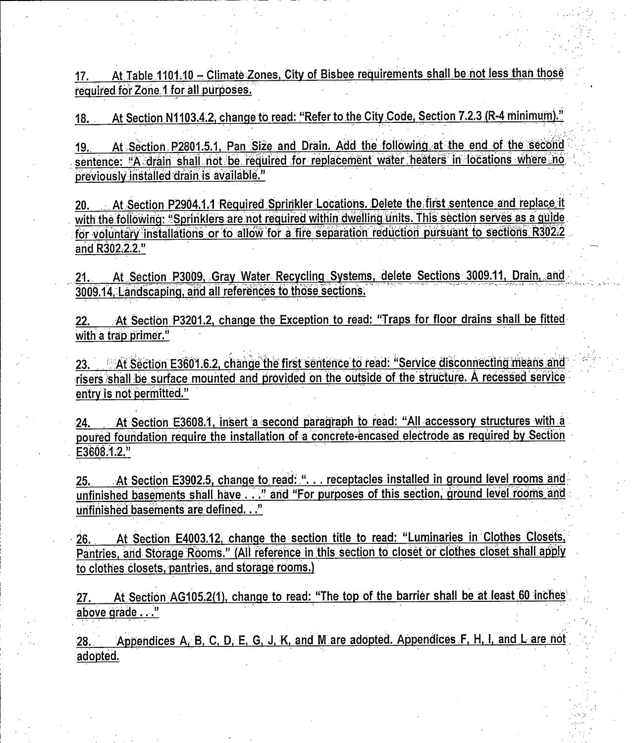17. At Table 1101.10 – Climate Zones, City of Bisbee requirements shall be not less than those<br>required for Zone 1 for all purposes. reg6ired. 1 #f6rZone\_orall.purposes.

18. At Section N1103.4.2, change to read: "Refer to the City Code, Section 7.2.3 (R-4 minimum)."<br>19. At Section. P2801.5.1. Pan. Size, and Drain. Add the following at the end of the second required for Zone 1 for all purposes.<br>18. At Section N1103.4.2, change to read: "Refer to the City Code, Section 7.2.3 (R-4 minimum)."<br>19. At Section P2801.5.1, Pan Size and Drain. Add the following at the end of the secon previously installed drain is available." 19. At Section P2801.5.1, Pan Size and Drain. Add the following at the end of the second<br>sentence: "A drain shall not be required for replacement water heaters in locations where no<br>previously installed drain is available.

with the following: "Sprinklers are not required within dwelling units. This section serves as a guide Freviously installed drain is available."<br>The world with the following: "Sprinklers are not required within dwelling units. This section serves as a guide<br>for voluntary installations or to allow for a fire separation reduc <u>zu. At Secuon Pzs</u><br>with the following: "Sp<br>for voluntary installati<br>and R302.2.2."

21. At Section P3009, Gray Water Recycling Systems, delete Sections 3009.11, Drain, and 3009.14, Landscaping, and all references to those sections.

22. At Section P3201.2, change the Exception to read: "Traps for floor drains shall be fitted with a trap primer."

22. At Section P3201.2, change the Exception to read: "Traps for floor drains shall be fitted<br>with a trap primer."<br>23. At Section E3601.6.2, change the first sentence to read: "Service disconnecting means and<br>risers shall risers. The section PS201.2, change the Exception to Tead. Thaps for hoor drams shall be inted<br>with a trap primer."<br>The structure is not be surface mounted and provided on the outside of the structure. A recessed service<br>e entry is not permitted." 21. At Section P3009, Gray Water Recycling Systems, delete Sections 3009.11, Drain, and<br>3009.14, Landscaping, and all references to those sections.<br>22. At Section P3201.2, change the Exception to read: "Traps for floor dra

24 At Section E3608.1, insert a second paragraph to read: "All accessory structures with a foundation require the installation of a concrete-encased electrode as required by Section France entry is not permitted."<br>
24. At Section E36<br>
poured foundation requested.

25. At Section E3902.5, change to read: ". . . receptacles installed in ground level rooms and 25. At Section E3902.5, change to read: ... receptacies installed in ground level fooins and<br>unfinished basements shall have ..." and "For purposes of this section, ground level rooms and E3608.1.2."<br>25. At Section E3902.5, change to reunfinished basements shall have . . ." an<br>unfinished basements are defined. .."

26. At Section E4003.12, change the section title to read: "Luminaries in Clothes Closets, 26. At Section E4003.12, change the section title to read: "Luminaries in Clothes Closets,<br>Pantries, and Storage Rooms." (All reference in this section to closet or clothes closet shall apply to clothes closets, pantries, and storage rooms.) 26. At Section E4003.12, change the section title to read: "Luminaries in Clothes Closets, Pantries, and Storage Rooms." (All reference in this section to closet or clothes closet shall apply<br>to clothes closets, pantries,

above grade ..."

28. Appendices A, B, C, D, E, G, J, K, and M are adopted. Appendices F, H, I, and L are not adopted.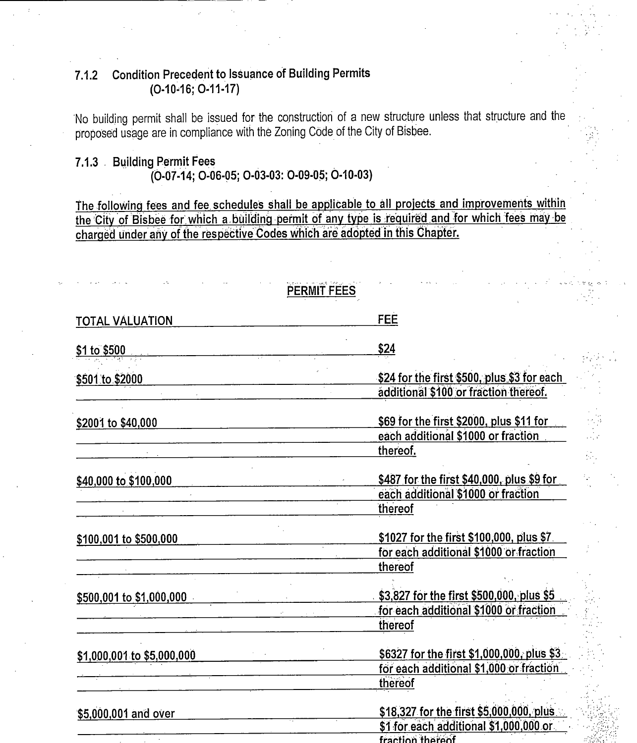#### **Condition Precedent to Issuance of Building Permits**  $7.1.2$  $(O-10-16; O-11-17)$

No building permit shall be issued for the construction of a new structure unless that structure and the proposed usage are in compliance with the Zoning Code of the City of Bisbee.

### 7.1.3 Building Permit Fees (0-07-14; 0-06-05; 0-03-03: 0-09-05; 0-10-03)

The following fees and fee schedules shall be applicable to all projects and improvements within the City of Bisbee for which a building permit of any type is required and for which fees may be charged under any of the respective Codes which are adopted in this Chapter.

|                            | PERMIT FEES                                 |
|----------------------------|---------------------------------------------|
| <b>TOTAL VALUATION</b>     | <b>FEE</b>                                  |
| \$1 to \$500               | \$24                                        |
| \$501 to \$2000            | \$24 for the first \$500, plus \$3 for each |
|                            | additional \$100 or fraction thereof.       |
| \$2001 to \$40,000         | \$69 for the first \$2000, plus \$11 for    |
|                            | each additional \$1000 or fraction          |
|                            | thereof.                                    |
| \$40,000 to \$100,000      | \$487 for the first \$40,000, plus \$9 for  |
|                            | each additional \$1000 or fraction          |
|                            | thereof                                     |
| \$100,001 to \$500,000     | \$1027 for the first \$100,000, plus \$7    |
|                            | for each additional \$1000 or fraction      |
|                            | thereof                                     |
| \$500,001 to \$1,000,000   | \$3,827 for the first \$500,000, plus \$5   |
|                            | for each additional \$1000 or fraction      |
|                            | thereof                                     |
| \$1,000,001 to \$5,000,000 | \$6327 for the first \$1,000,000, plus \$3  |
|                            | for each additional \$1,000 or fraction     |
|                            | thereof                                     |
| \$5,000,001 and over       | \$18,327 for the first \$5,000,000, plus    |
|                            | \$1 for each additional \$1,000,000 or      |
|                            | fraction thereof                            |

Ŵ,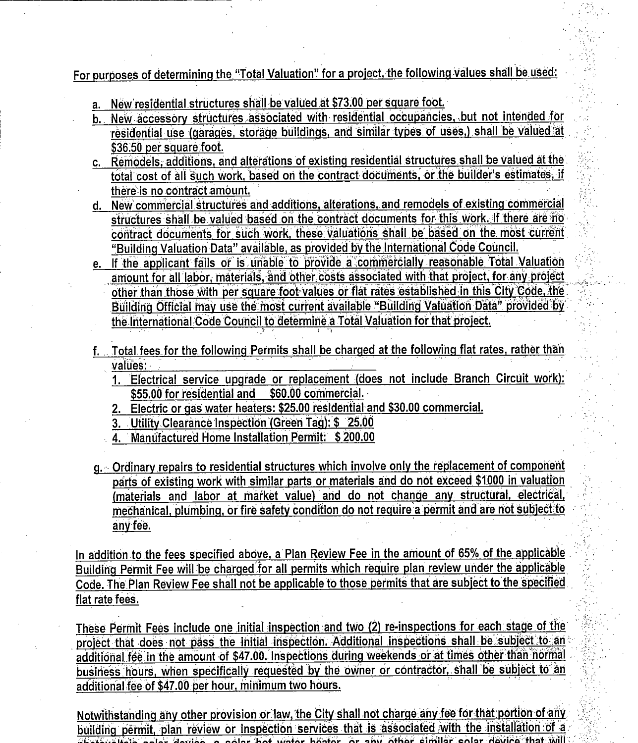For purposes of determining the "Total Valuation" for a project, the following values shall be used:

- a. New residential structures shall be valued at \$73.00 per square foot.
- b. New accessory structures associated with residential occupancies, but not intended for residential use (garages, storage buildings, and similar types of uses.) shall be valued at \$36.50 per square foot.
- c. Remodels, additions, and alterations of existing residential structures shall be valued at the total cost of all such work, based on the contract documents, or the builder's estimates, if there is no contract amount.
- d. New commercial structures and additions, alterations, and remodels of existing commercial structures shall be valued based on the contract documents for this work. If there are no contract documents for such work, these valuations shall be based on the most current "Building Valuation Data" available, as provided by the International Code Council.
- e. If the applicant fails or is unable to provide a commercially reasonable Total Valuation amount for all labor, materials, and other costs associated with that project, for any project other than those with per square foot values or flat rates established in this City Code, the Building Official may use the most current available "Building Valuation Data" provided by the International Code Council to determine a Total Valuation for that project.
- f. Total fees for the following Permits shall be charged at the following flat rates, rather than values:
	- 1. Electrical service upgrade or replacement (does not include Branch Circuit work): \$55.00 for residential and \$60.00 commercial.
	- 2. Electric or gas water heaters: \$25.00 residential and \$30.00 commercial.
	- 3. Utility Clearance Inspection (Green Tag): \$ 25.00
	- 4. Manufactured Home Installation Permit: \$200.00
- g. Ordinary repairs to residential structures which involve only the replacement of component parts of existing work with similar parts or materials and do not exceed \$1000 in valuation (materials and labor at market value) and do not change any structural, electrical, mechanical, plumbing, or fire safety condition do not require a permit and are not subject to any fee.

In addition to the fees specified above, a Plan Review Fee in the amount of 65% of the applicable Building Permit Fee will be charged for all permits which require plan review under the applicable Code. The Plan Review Fee shall not be applicable to those permits that are subject to the specified flat rate fees.

These Permit Fees include one initial inspection and two (2) re-inspections for each stage of the project that does not pass the initial inspection. Additional inspections shall be subject to an additional fee in the amount of \$47.00. Inspections during weekends or at times other than normal business hours, when specifically requested by the owner or contractor, shall be subject to an additional fee of \$47.00 per hour, minimum two hours.

Notwithstanding any other provision or law, the City shall not charge any fee for that portion of any building permit, plan review or inspection services that is associated with the installation of a  $\overline{u}$ .  $\overline{u}$   $\overline{u}$  and  $\overline{u}$  and  $\overline{u}$  and  $\overline{u}$  and  $\overline{u}$  and  $\overline{u}$  and  $\overline{u}$  and  $\overline{u}$  and  $\overline{u}$  and  $\overline{u}$  and  $\overline{u}$  and  $\overline{u}$  and  $\overline{u}$  and  $\overline{u}$  and  $\overline{u}$  and  $\overline{u}$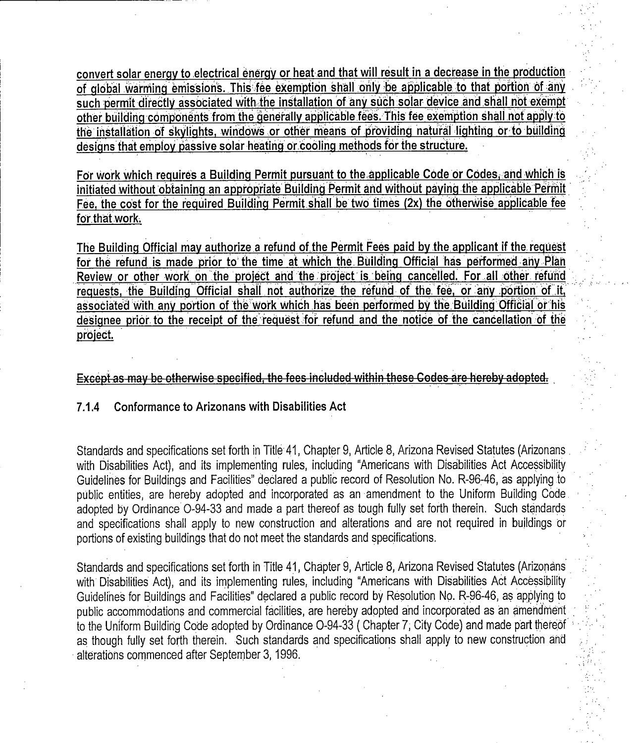convert solar energy to electrical energy or heat and that will result in a decrease in the production of global warming emissions. This fee exemption shall only be applicable to that portion of any such permit directly associated with the installation of any such solar device and shall not exempt other building components from the generally applicable fees. This fee exemption shall not apply to the installation of skylights, windows or other means of providing natural lighting or to building designs that employ passive solar heating or.cooJing methods for the structure.

For work which requires a Building Permit pursuant to the applicable Code or Codes, and which is initiated without obtaining an appropriate Building Permit and without paying the applicable Permit Fee, the cost for the required Building Permit shall be two times (2x) the otherwise applicable fee for that work.

The Building Official may authorize a refund of the Permit Fees paid by the applicant if the request for the refund is made prior to the time at which the Building Official has performed any Plan Review or other work on the project and the project is being cancelled. For all other refund requests, the Building Official shall not authorize the refund of the fee, or any portion of it, associated with any portion of the work which has been performed by the Building Official or his designee prior to the receipt of the request for refund and the notice of the cancellation of the project.

Except as may be otherwise specified, the fees included within these Codes are hereby adopted.<br>7.1.4 Conformance to Arizonans with Disabilities Act

Standards and specifications set forth in Title 41, Chapter 9, Article 8, Arizona Revised Statutes (Arizonans, with Disabilities Act), and its implementing rules, including "Americans with Disabilities Act Accessibility Guidelines for Buildings and Facilities" declared a public record of Resolution No. R-96-46, as applying to public entities, are hereby adopted and incorporated as an amendment to the Uniform Building Code. adopted by Ordinance O-94-33 and made a part thereof as tough fully set forth therein. Such standards and specifications shall apply to new construction and alterations and are not required in buildings or portions of existing buildings that do not meet the standards and specifications.

Standards and specifications set forth in Title 41, Chapter 9, Article 8, Arizona Revised Statutes (Arizonans with Disabilities Act), and its implementing rules, including "Americans with Disabilities Act Accessibility Guidelines for Buildings and Facilities" declared a public record by Resolution No. R-96-46, as applying to public accommodations and commercial facilities, are hereby adopted and incorporated as an amendment to the Uniform Building Code adopted by Ordinance O-94-33 (Chapter 7, City Code) and made part thereof as though fully set forth therein. Such standards and specifications shall apply to new construction and alterations commenced after September 3, 1996.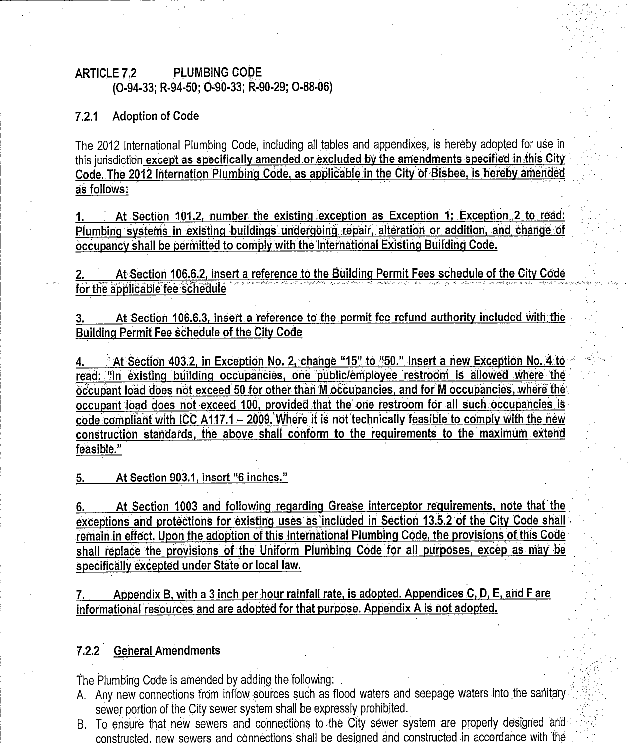## ARTICLE 7.2 PLUMBING CODE (0-94-33; R-94-50; 0-90-33; R-90-29; 0-88-06)

#### 7.2.1 Adoption of Code

The 2012 International Plumbing Code, including all tables and appendixes, is hereby adopted for use in this jurisdiction except as specifically amended or excluded by the amendments specified in this City Code. The 2012 Internation Plumbing Code, as applicable in the City of Bisbee, is hereby amended as follows: ARTICLE 7.2 PLUMBING CODE<br>
(O-94-33; R-94-50; O-90-33; R-90-29; O-88-06)<br>
T.2.1 Adoption of Code<br>
The 2012 International Plumbing Code, including all tables and appendixes, is hereby adopted for use in<br>
this jurisdiction <u></u>

1. At Section 101.2, number the existing exception as Exception 1; Exception 2 to read:<br>Plumbing systems in existing buildings undergoing repair, alteration or addition, and change of occupancy shall be permitted to.comply with the international Existing Building Code.

At Section 106.6.2, insert a reference to the Building Permit Fees schedule of the City Code for the applicable fee schedule

At Section 106.6.3, insert a reference to the permit fee refund authority included with the Building Permit Fee schedule of the City Code

At Section 106.6.3, insert a reference to the permit fee refund authority included with the<br>Building Permit Fee schedule of the City Code<br>4. <u>At Section 403.2, in Exception No. 2, change "15" to "50." Insert a new Exceptio</u> occupant load does not exceed 50 for other than M occupancies, and for M occupancies, where the occupant load does not exceed 100, provided that the one restroom for all such occupancies. is<br>code compliant with ICC A117.1 – 2009. Where it is not technically feasible to comply with the new 3. At Section 106.6.3, insert a reference to the permit fee refund authority included with the<br>Building Permit Fee schedule of the City Code<br>4. At Section 403.2, in Exception No. 2, change "15" to "50." Insert a new Except  $\overline{\text{construction}}$  standards, the above shall conform to the requirements to the maximum extend feasible."

5. At Section 903.1, insert "6 inches."

6. At Section 1003 and following regarding Grease interceptor requirements, note that the 6. At Section 1003 and following regarding Grease interceptor requirements, note that the<br>exceptions and protections for existing uses as included in Section 13.5.2 of the City Code shall<br>remain in effect Upon the adoption 6. At Section 1003 and following regarding Grease interceptor requirements, note that the exceptions and protections for existing uses as included in Section 13.5.2 of the City Code shall remain in effect. Upon the adoptio shall replace the provisions of the Uniform Plumbing Code for all purposes, excep as may be specifically excepted under State or local law.

7. Appendix B, with a 3 inch per hour rainfall rate, is adopted. Appendices  $C, D, E$ , and F are informational resources and are adopted for that purpose. Appendix A is not adopted.

#### 7.2.2 General Amendments

The Plumbing Code is amended by adding the following: .

- A. Any new connections from inflow sources such as flood waters and seepage waters into the sanitary sewer portion of the City sewer system shall be expressly prohibited.
- B. To ensure that new sewers and connections to the City sewer system are properly designed and constructed, new sewers and connections shall be designed and constructed in accordance with the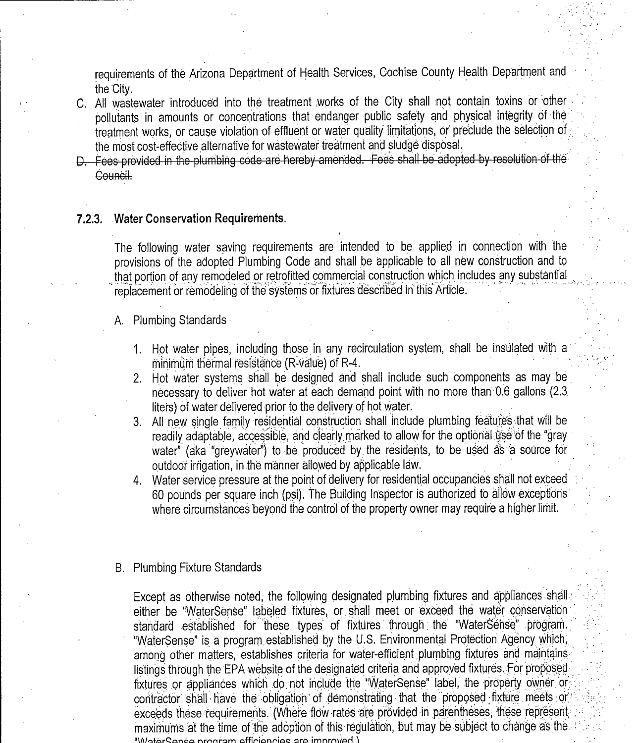requirements of the Arizona Department of Health Services, Cochise County Health Department and the City.

- C. All wastewater introduced into the treatment ;works of the City shall not contain toxins or other pollutants in amounts or concentrations that endanger public safety and physical integrity of the treatment works, or cause violation of effluent or water quality limitations, or preclude the selection of the most cost-effective alternative for wastewater treatment and sludge disposal.<br>D. Fees provided in the plumbing code are hereby amended. Fees shall be adopted by resolution of the
- Council.

#### 7.2.3. Water Conservation Requirements.

The following water saving requirements are intended to be applied in connection with the provisions of the adopted Plumbing Code and shall be applicable to all new construction and to that portion of any remodeled or retrofitted commercial construction which includes any substantial replacement or remodeling of the systems or fixtures described in this Article.

#### A. Plumbing Standards

- 1. Hot water pipes, including those in any recirculation system, shall be insulated with a  $minimum$  thermal resistance (R-value) of R-4.
- 2. Hot water systems shall be designed and shall include such components as may be necessary to deliver hot water at each demand point with no more than 0.6 gallons (2.3 liters) of water delivered prior to the delivery of hot water.
- 3. All new single family residential construction shall include plumbing features that will be readily adaptable, accessible, and clearly marked to allow for the optional use of the "gray water" (aka "greywater") to be produced by the residents, to be used as a source for outdoor irrigation, in the manner allowed by applicable law.
- 4. Water service pressure at the point of delivery for residential occupancies shall not exceed <sup>60</sup> pounds per square inch (psi). The Building Inspector is authorized to allow exceptions' where circumstances beyond the control of the property owner may require a higher limit.

#### B. Plumbing Fixture Standards

Except as otherwise noted, the following designated plumbing fixtures and appliances shall` Except as otherwise noted, the following designated plumbing fixtures and appliances shall exercise the "WaterSense" labeled fixtures, or shall meet or exceed the water conservation is standard established for these types of fixtures through the "WaterSense" program. "WaterSense" is a program established by the U.S. Environmental Protection Agency which, among other matters, establishes criteria for water-efficient plumbing fixtures and maintains, materialistings through the EPA website of the designated criteria and approved fixtures and maintains.<br>Instings through the EPA website of the designated criteria and approved fixtures. For proposed fixtures or appliances which do not include the "WaterSense" label, the property owner or contractor shall have the obligation of demonstrating that the proposed fixture meets or exceeds these requirements. (Where flow rates are provided in parentheses, these represent maximums at the time of the adoption of this regulation, but may be subject to change as the strategy is a contamn efficiencies are improved.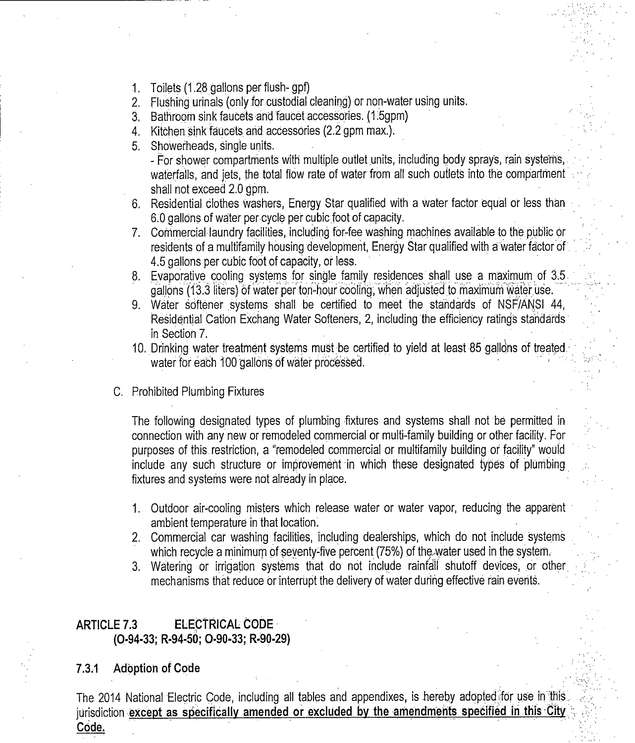- 1. Toilets (1.28 gallons per flush- gpf)
- 2. Flushing urinals (only for custodial cleaning) or non-water using units.
- 3. Bathroom sink faucets and faucet accessories. (1.5qpm)
- 4. Kitchen sink faucets and accessories (2.2 gpm max.).
- 5. Showerheads, single units.

For shower compartments with multiple outlet units, including body sprays, rain systems, . waterfalls, and jets, the total flow rate of water from all such outlets into the compartment shall not exceed 2.0 gpm.

- 6. Residential clothes washers, Energy Star qualified with <sup>a</sup> water factor equal or less than 6.0 gallons of water per cycle per cubic foot of capacity.
- 7. Commercial laundry facilities, including for-fee washing machines available to the public or residents of a multifamily housing development, Energy Star qualified with a water factor of . 4.5 gallons per cubic foot of capacity, or less.
- 8. Evaporative cooling systems for single family residences shall use a maximum of 3.5 gallons (13.3 liters) of water per ton-hour cooling, when adjusted to maximum water use.
- 9. Water softener systems shall be certified to meet the standards of NSF/ANSI 44, Residential Cation Exchang Water Softeners, 2, including the efficiency ratings standards in Section 7.
- 10. Drinking water treatment systems must.be certified to yield at least <sup>85</sup> gallons of treated. in Section 7.<br>Drinking water treatment systems must be certi<br>water for each 100 gallons of water processed.
- C, Prohibited Plumbing Fixtures

The following designated types of plumbing fixtures and systems shall not be permitted in connection with any new or remodeled commercial or multi-family building or other facility. For purposes of this. restriction, a "remodeled commercial or multifamily building or facility' would include any such structure or improvement in which these designated types of plumbing fixtures and systems were not already in place.

- 1. Outdoor air-cooling misters which release water or water vapor, reducing the apparent ambient temperature in that location.
- 2. Commercial car washing facilities, including dealerships, which do not include systems which recycle a minimum of seventy-five percent (75%) of the water used in the system.
- 3. Watering or irrigation systems that do not include rainfall shutoff devices, or other. mechanisms that reduce or interrupt the delivery of water during effective rain events.

## ARTICLE 7.3 ELECTRICAL CODE 0.94 -33; R- 94 -50; 0- 90 -33; R- 90.29)

#### 7.3.1 Adoption of Code

The 2014 National Electric Code, including all tables and appendixes, is hereby adopted for use in this. jurisdiction except as specifically amended or excluded by the amendments specified in this City Code.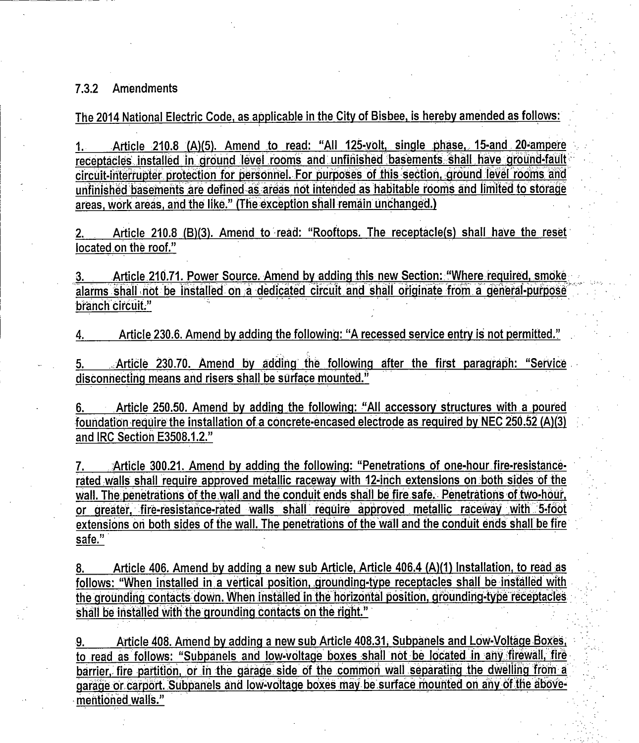#### 7.3.2 Amendments

The 2014 National Electric Code, as applicable in the City of Bisbee, is hereby amended as follows:

1. Article 210.8 (A)(5). Amend to read: "All 125-volt, single phase, 15-and 20-ampere receptacles installed in ground level rooms and unfinished basements shall have ground-fault circuit-interrupter protection for personnel. For purposes of this section, ground level rooms and unfinished basements are defined as areas not intended as habitable rooms and limited to storage areas, work areas, and the like." (The exception shall remain unchanged.)

2. Article 210.8 (B)(3). Amend to read: "Rooftops. The receptacle(s) shall have the reset located.on the roof."

3. Article 210.71. Power Source. Amend by adding this new Section: "Where required, smoke alarms shall not be installed on a dedicated circuit and shall originate from a general-purpose branch circuit."

Article 230.6. Amend by adding the following: "A recessed service entry is not permitted."

5. .... Article 230.70. Amend by adding the following after the first paragraph: "Service disconnectlng means and risers shall be surface mounted."

6. Article 250.50. Amend by adding the following: "All accessory structures with a poured foundation require the installation of a concrete-encased electrode as required by NEC 250.52 (A)(3) and IRC Section E3508.1.2." 3. Article 250.70. Amend by additionmecting means and risers shall be<br>6. Article 250.50. Amend by addition<br>foundation require the installation of a c<br>and IRC Section E3508.1.2."

7. Article 300.21. Amend by adding the following: "Penetrations of one-hour fire-resistancerated walls shall require approved metallic raceway with 12-inch extensions on both sides of the wall. The penetrations of the wall and the conduit ends shall be fire safe. Penetrations of two hour, or greater, fire-resistance-rated walls shall require approved metallic raceway with 5-foot extensions on both sides of the wall. The penetrations of the wall and the conduit ends shall be fire safe."

8. Article 406. Amend by adding a new sub Article, Article 406.4 (A)(1) Installation, to read as follows: "When installed in a vertical position, grounding-type receptacles shall be installed with the grounding contacts down. When installed in the horizontal position, grounding type receptacles shall be installed with the grounding contacts on the right."

9. Article 408. Amend by adding a new sub Article 408.31, Subpanels and Low-Voltage Boxes, to read as follows: "Subpanels and low-voltage boxes shall not be located in any firewall, fire barrier, fire partition, or in the garage side of the common wall separating the dwelling from a to read as follows: "Subpanels and low-voltage boxes shall not be located in any firewall, fire<br>barrier, fire partition, or in the garage side of the common wall separating the dwelling from a<br>garage or carport. Subpanels garage or carport. Subpanels and low-voltage boxes may be surface mounted on any of the above-<br>mentioned walls."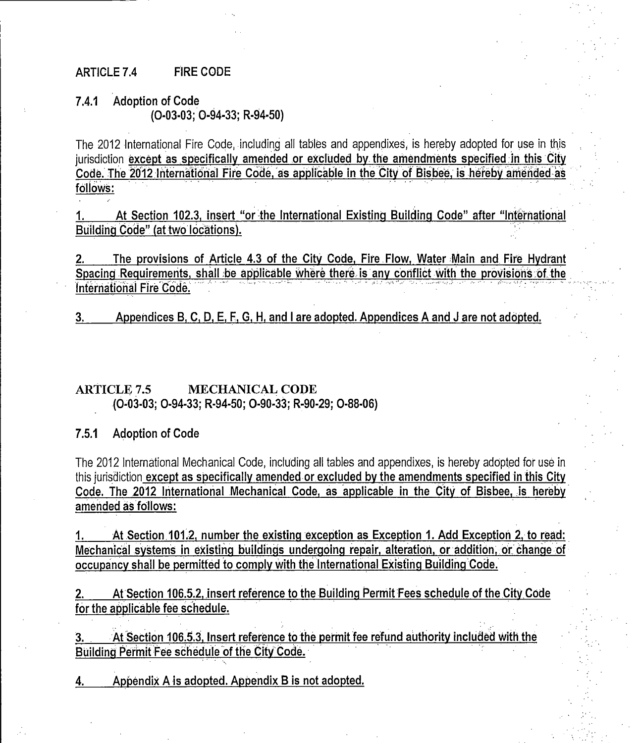#### ARTICLE 7.4 FIRE CODE

#### 7.4.1 Adoption of Code 0- 03 -03; 0.94 -33; R- 94.50)

The 2012 International Fire Code, including all tables and appendixes is hereby adopted for use in this jurisdiction except as specifically amended or excluded by the amendments specified in this City Code. The 2012 International Fire Code, as applicable in the City of Bisbee, is hereby amended as follows:

At Section 102.3, insert "or the International Existing Building Code" after "International 1. Building Code" (at two locations).

The provisions of Article 4.3 of the City Code, Fire Flow, Water Main and Fire Hydrant Spacing Requirements, shall be applicable where there is any conflict with the provisions of the International Fire Code:

3. Appendices B, C, D, E, F, G, H, and <sup>I</sup> are adopted. Appendices <sup>A</sup> and <sup>J</sup> are not adopted.

## ARTICLE 7.5 MECHANICAL CODE (0-03-03; 0-94-33; R-94-50; 0-90-33; R-90-29; 0-88-06)

7.5.1 Adoption of Code

The 2012 International Mechanical Code, including all tables and appendixes, is hereby adopted for use in this jurisdiction except as specifically amended or excluded by the amendments specified in this City Code. The 2012 International Mechanical Code, as applicable in the City of Bisbee, is hereby amended as follows: The 2012 International Mechanical Code, including all tables and appendixes, is hereby adopted for use in<br>this jurisdiction except as specifically amended or excluded by the amendments specified in this City<br>Code. The 2012

occupancv shall be permitted to comply with the international Existinq Buildinq'Code.

2. At Section 106.5.2, insert reference to the Building Permit Fees schedule of the City Code for the applicable fee schedule.

3. At Section 106.5.3, Insert reference to the permit fee refund authority included with the Building Permit fee schedule of the City Code.

4. Appendix A is adopted. Appendix <sup>B</sup> is not adopted.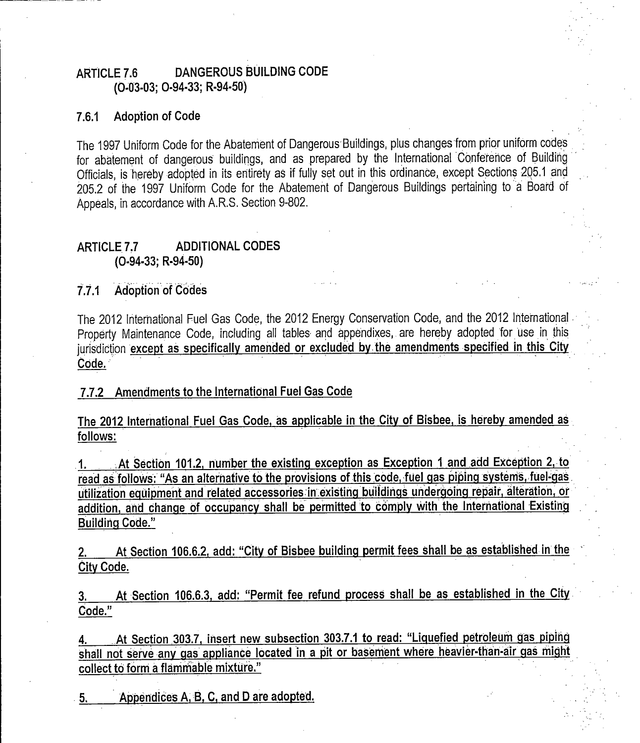## ARTICLE 7.6 DANGEROUS BUILDING CODE 0.03 -03; 0- 94 -33; R- 94 -50)

#### 7.6.1 Adoption of Code

The 1997 Uniform Code for the Abatement of Dangerous Buildings, plus changes from prior uniform codes for abatement of dangerous buildings, and as prepared by the International Conference of Building Officials, is hereby adopted in its entirety as if fully set out in this ordinance, except Sections 205.1 and 205.2 of the <sup>1997</sup> Uniform Code for the Abatement of Dangerous Buildings pertaining to <sup>a</sup> Board of Appeals, in accordance with A. S. RSection 9 -802.

#### ARTICLE 7.7 ADDITIONAL CODES  $(O-94-33; R-94-50)$

# 7.7.1 Adoption of Codes

The 2012 International Fuel Gas Code, the 2012 Energy Conservation Code, and the 2012 International . Property Maintenance Code, including all tables and appendixes, are hereby adopted for use in this jurisdiction except as specifically amended or excluded by the amendments specified in this City Code.

# 7.7.2 Amendments to the International Fuel Gas Code

The 2012 International Fuel Gas Code, as applicable in the City of Bisbee, is hereby amended as follows:

1. At Section 101.2, number the existing exception as Exception 1 and add Exception 2, to read as follows: "As an alternative to the provisions of this code, fuel gas piping systems, fuel-gas utilization equipment and related accessories in existing buildings undergoing repair, alteration, or addition, and change of occupancy shall be permitted to comply with the International Existing Building Code."

At Section 106.6.2, add: "City of Bisbee building permit fees shall be as established in the City Code.

At Section 106.6.3, add: "Permit fee refund process shall be as established in the City Code."

4. At Section 303.7, insert new subsection 303.7.1 to read: "Liquefied petroleum gas piping shall not serve any gas appliance located in <sup>a</sup> pit or basement where heavier -than -air gas might collect to form <sup>a</sup> flammable mixture.'

5. Appendices A, B, C, and D are adopted.